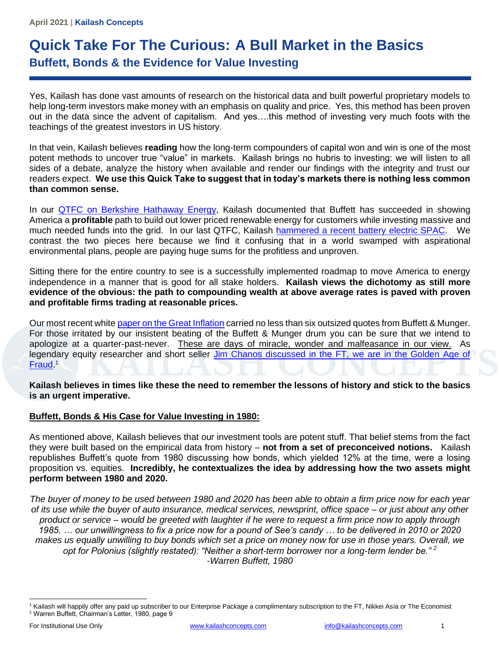# **Quick Take For The Curious: A Bull Market in the Basics Buffett, Bonds & the Evidence for Value Investing**

Yes, Kailash has done vast amounts of research on the historical data and built powerful proprietary models to help long-term investors make money with an emphasis on quality and price. Yes, this method has been proven out in the data since the advent of capitalism. And yes….this method of investing very much foots with the teachings of the greatest investors in US history.

In that vein, Kailash believes **reading** how the long-term compounders of capital won and win is one of the most potent methods to uncover true "value" in markets. Kailash brings no hubris to investing: we will listen to all sides of a debate, analyze the history when available and render our findings with the integrity and trust our readers expect. **We use this Quick Take to suggest that in today's markets there is nothing less common than common sense.** 

In our **QTFC** on Berkshire Hathaway Energy, Kailash documented that Buffett has succeeded in showing America a **profitable** path to build out lower priced renewable energy for customers while investing massive and much needed funds into the grid. In our last QTFC, Kailash [hammered a recent battery](https://kailashconcepts.com/white-paper/quick-take-for-the-curious-a-well-engineered-spac/) electric SPAC. We contrast the two pieces here because we find it confusing that in a world swamped with aspirational environmental plans, people are paying huge sums for the profitless and unproven.

Sitting there for the entire country to see is a successfully implemented roadmap to move America to energy independence in a manner that is good for all stake holders. **Kailash views the dichotomy as still more evidence of the obvious: the path to compounding wealth at above average rates is paved with proven and profitable firms trading at reasonable prices.**

Our most recent whit[e paper on the Great Inflation](https://kailashconcepts.com/white-paper/the-great-inflation/) carried no less than six outsized quotes from Buffett & Munger. For those irritated by our insistent beating of the Buffett & Munger drum you can be sure that we intend to apologize at a quarter-past-never. These are days of miracle, wonder and malfeasance in our view. As legendary equity researcher and short seller Jim Chanos discussed in the FT, we are in the Golden Age of [Fraud.](https://www.ft.com/content/ccb46309-bba4-4fb7-b3fa-ecb17ea0e9cf)<sup>1</sup>

**Kailash believes in times like these the need to remember the lessons of history and stick to the basics is an urgent imperative.** 

# **Buffett, Bonds & His Case for Value Investing in 1980:**

As mentioned above, Kailash believes that our investment tools are potent stuff. That belief stems from the fact they were built based on the empirical data from history – **not from a set of preconceived notions.** Kailash republishes Buffett's quote from 1980 discussing how bonds, which yielded 12% at the time, were a losing proposition vs. equities. **Incredibly, he contextualizes the idea by addressing how the two assets might perform between 1980 and 2020.** 

*The buyer of money to be used between 1980 and 2020 has been able to obtain a firm price now for each year of its use while the buyer of auto insurance, medical services, newsprint, office space – or just about any other product or service – would be greeted with laughter if he were to request a firm price now to apply through 1985. … our unwillingness to fix a price now for a pound of See's candy … to be delivered in 2010 or 2020 makes us equally unwilling to buy bonds which set a price on money now for use in those years. Overall, we opt for Polonius (slightly restated): "Neither a short-term borrower nor a long-term lender be." <sup>2</sup> -Warren Buffett, 1980*

<sup>&</sup>lt;sup>1</sup> Kailash will happily offer any paid up subscriber to our Enterprise Package a complimentary subscription to the FT, Nikkei Asia or The Economist <sup>2</sup> Warren Buffett, Chairman's Letter, 1980, page 9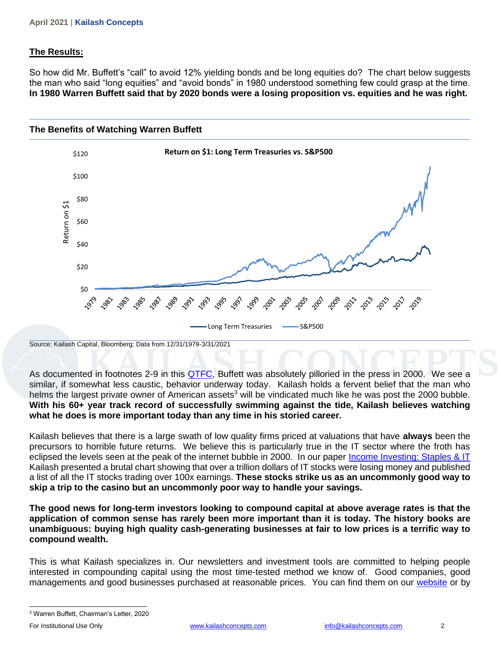## **The Results:**

So how did Mr. Buffett's "call" to avoid 12% yielding bonds and be long equities do? The chart below suggests the man who said "long equities" and "avoid bonds" in 1980 understood something few could grasp at the time. **In 1980 Warren Buffett said that by 2020 bonds were a losing proposition vs. equities and he was right.**



Source: Kailash Capital, Bloomberg; Data from 12/31/1979-3/31/2021

As documented in footnotes 2-9 in this [QTFC,](https://kailashconcepts.com/white-paper/quick-take-for-the-curious-is-warren-buffetts-berkshire-hathaway-energy-an-example-of-esg-excellence/) Buffett was absolutely pilloried in the press in 2000. We see a similar, if somewhat less caustic, behavior underway today. Kailash holds a fervent belief that the man who helms the largest private owner of American assets<sup>3</sup> will be vindicated much like he was post the 2000 bubble. **With his 60+ year track record of successfully swimming against the tide, Kailash believes watching what he does is more important today than any time in his storied career.** 

Kailash believes that there is a large swath of low quality firms priced at valuations that have **always** been the precursors to horrible future returns. We believe this is particularly true in the IT sector where the froth has eclipsed the levels seen at the peak of the internet bubble in 2000. In our paper [Income Investing: Staples & IT](https://kailashconcepts.com/white-paper/income-investing-staples-it-how-dividend-investing-may-halt-the-speculative-quest-for-quick-gains/) Kailash presented a brutal chart showing that over a trillion dollars of IT stocks were losing money and published a list of all the IT stocks trading over 100x earnings. **These stocks strike us as an uncommonly good way to skip a trip to the casino but an uncommonly poor way to handle your savings.** 

**The good news for long-term investors looking to compound capital at above average rates is that the application of common sense has rarely been more important than it is today. The history books are unambiguous: buying high quality cash-generating businesses at fair to low prices is a terrific way to compound wealth.** 

This is what Kailash specializes in. Our newsletters and investment tools are committed to helping people interested in compounding capital using the most time-tested method we know of. Good companies, good managements and good businesses purchased at reasonable prices. You can find them on our [website](https://kailashconcepts.com/research/#tools) or by

<sup>3</sup> Warren Buffett, Chairman's Letter, 2020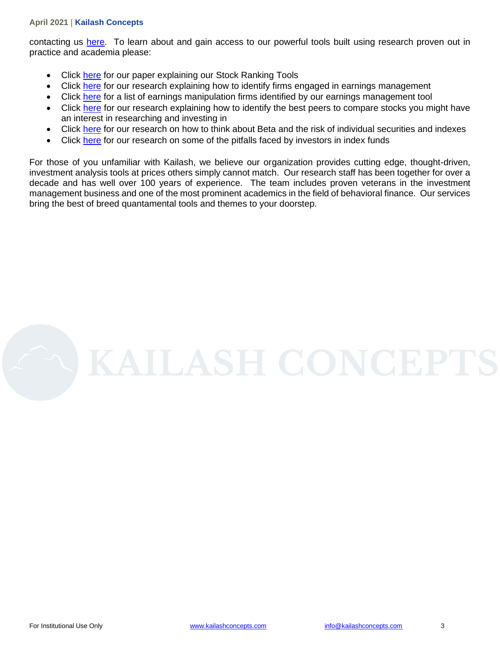#### **April 2021** | **Kailash Concepts**

contacting us [here.](https://kailashconcepts.com/contact-us/) To learn about and gain access to our powerful tools built using research proven out in practice and academia please:

- Click [here](https://kailashconcepts.com/white-paper/introducing-the-kailash-large-cap-rankings-tool/) for our paper explaining our Stock Ranking Tools
- Click [here](https://kailashconcepts.com/white-paper/identifying-accounting-and-earnings-manipulators-fundamental-informations-role-in-locating-earnings-manipulation/) for our research explaining how to identify firms engaged in earnings management
- Click [here](https://kailashconcepts.com/monthly-research/?category=bespoke) for a list of earnings manipulation firms identified by our earnings management tool
- Click [here](https://kailashconcepts.com/white-paper/proper-peers-a-process-driven-approach-to-selecting-comps/) for our research explaining how to identify the best peers to compare stocks you might have an interest in researching and investing in
- Click [here](https://kailashconcepts.com/white-paper/the-collapse-of-common-sense-the-great-beta-breakdown/) for our research on how to think about Beta and the risk of individual securities and indexes
- Click [here](https://kailashconcepts.com/white-paper/firms-without-revenues-scratch-tickets-of-the-investment-world-a-regressive-tax-on-index-funds/) for our research on some of the pitfalls faced by investors in index funds

For those of you unfamiliar with Kailash, we believe our organization provides cutting edge, thought-driven, investment analysis tools at prices others simply cannot match. Our research staff has been together for over a decade and has well over 100 years of experience. The team includes proven veterans in the investment management business and one of the most prominent academics in the field of behavioral finance. Our services bring the best of breed quantamental tools and themes to your doorstep.